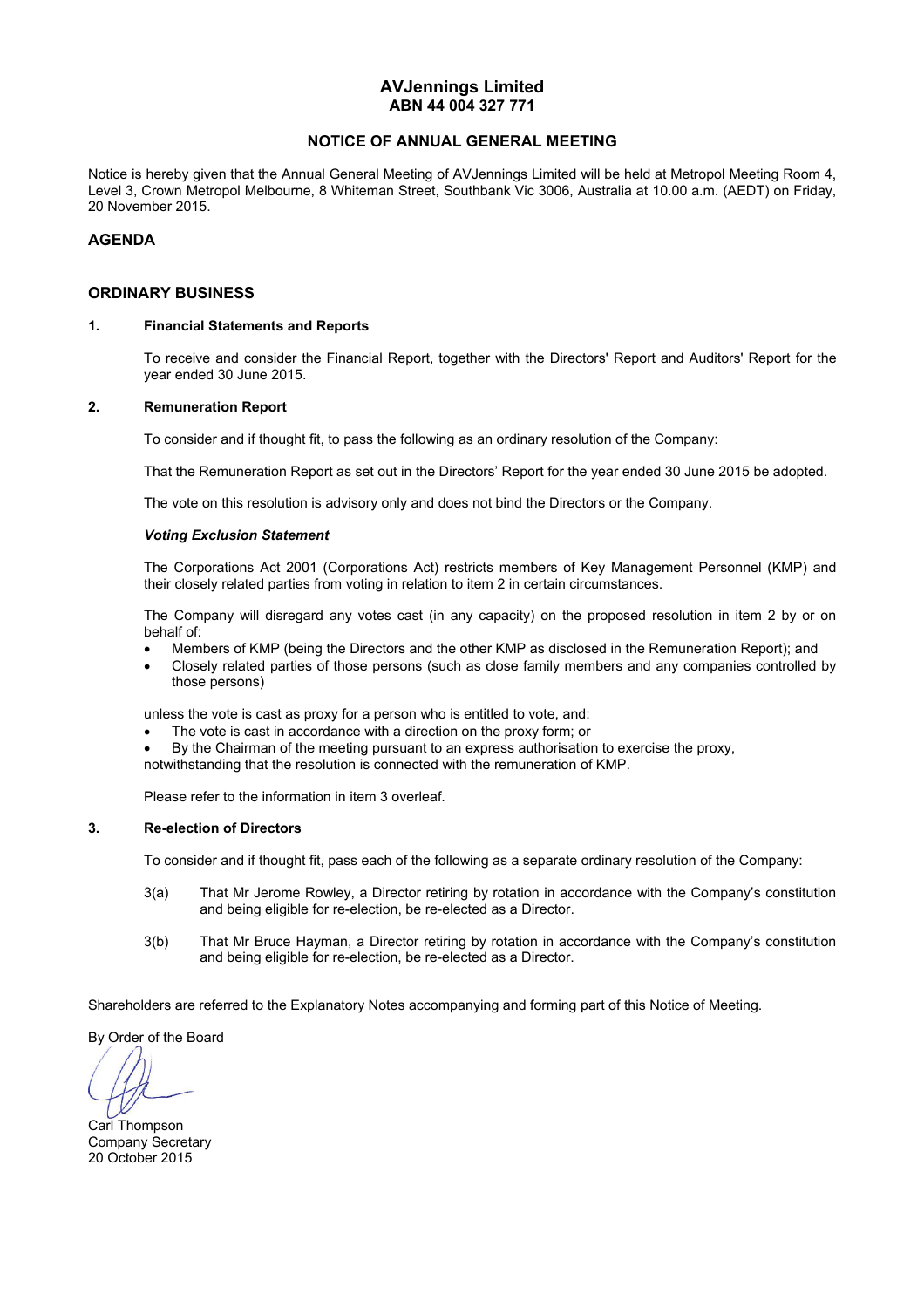#### **AVJennings Limited ABN 44 004 327 771**

#### **NOTICE OF ANNUAL GENERAL MEETING**

Notice is hereby given that the Annual General Meeting of AVJennings Limited will be held at Metropol Meeting Room 4, Level 3, Crown Metropol Melbourne, 8 Whiteman Street, Southbank Vic 3006, Australia at 10.00 a.m. (AEDT) on Friday, 20 November 2015.

#### **AGENDA**

#### **ORDINARY BUSINESS**

#### **1. Financial Statements and Reports**

To receive and consider the Financial Report, together with the Directors' Report and Auditors' Report for the year ended 30 June 2015.

#### **2. Remuneration Report**

To consider and if thought fit, to pass the following as an ordinary resolution of the Company:

That the Remuneration Report as set out in the Directors' Report for the year ended 30 June 2015 be adopted.

The vote on this resolution is advisory only and does not bind the Directors or the Company.

#### *Voting Exclusion Statement*

 The Corporations Act 2001 (Corporations Act) restricts members of Key Management Personnel (KMP) and their closely related parties from voting in relation to item 2 in certain circumstances.

 The Company will disregard any votes cast (in any capacity) on the proposed resolution in item 2 by or on behalf of:

- Members of KMP (being the Directors and the other KMP as disclosed in the Remuneration Report); and
- Closely related parties of those persons (such as close family members and any companies controlled by those persons)

unless the vote is cast as proxy for a person who is entitled to vote, and:

- The vote is cast in accordance with a direction on the proxy form; or
- By the Chairman of the meeting pursuant to an express authorisation to exercise the proxy,
- notwithstanding that the resolution is connected with the remuneration of KMP.

Please refer to the information in item 3 overleaf.

#### **3. Re-election of Directors**

To consider and if thought fit, pass each of the following as a separate ordinary resolution of the Company:

- 3(a) That Mr Jerome Rowley, a Director retiring by rotation in accordance with the Company's constitution and being eligible for re-election, be re-elected as a Director.
- 3(b) That Mr Bruce Hayman, a Director retiring by rotation in accordance with the Company's constitution and being eligible for re-election, be re-elected as a Director.

Shareholders are referred to the Explanatory Notes accompanying and forming part of this Notice of Meeting.

By Order of the Board

Carl Thompson Company Secretary 20 October 2015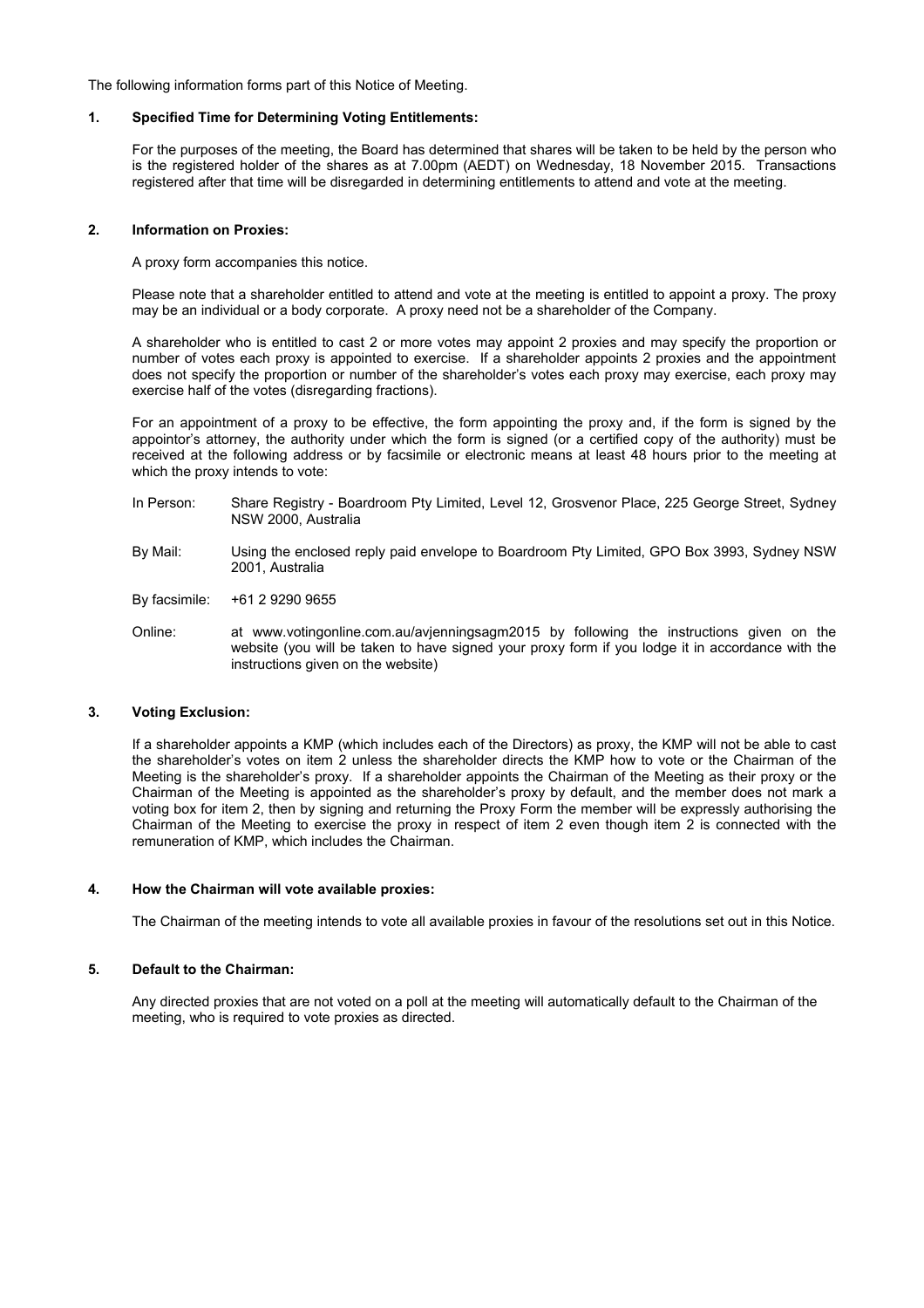The following information forms part of this Notice of Meeting.

#### **1. Specified Time for Determining Voting Entitlements:**

For the purposes of the meeting, the Board has determined that shares will be taken to be held by the person who is the registered holder of the shares as at 7.00pm (AEDT) on Wednesday, 18 November 2015. Transactions registered after that time will be disregarded in determining entitlements to attend and vote at the meeting.

#### **2. Information on Proxies:**

A proxy form accompanies this notice.

Please note that a shareholder entitled to attend and vote at the meeting is entitled to appoint a proxy. The proxy may be an individual or a body corporate. A proxy need not be a shareholder of the Company.

A shareholder who is entitled to cast 2 or more votes may appoint 2 proxies and may specify the proportion or number of votes each proxy is appointed to exercise. If a shareholder appoints 2 proxies and the appointment does not specify the proportion or number of the shareholder's votes each proxy may exercise, each proxy may exercise half of the votes (disregarding fractions).

For an appointment of a proxy to be effective, the form appointing the proxy and, if the form is signed by the appointor's attorney, the authority under which the form is signed (or a certified copy of the authority) must be received at the following address or by facsimile or electronic means at least 48 hours prior to the meeting at which the proxy intends to vote:

- In Person: Share Registry Boardroom Pty Limited, Level 12, Grosvenor Place, 225 George Street, Sydney NSW 2000, Australia
- By Mail: Using the enclosed reply paid envelope to Boardroom Pty Limited, GPO Box 3993, Sydney NSW 2001, Australia
- By facsimile: +61 2 9290 9655
- Online: at www.votingonline.com.au/avjenningsagm2015 by following the instructions given on the website (you will be taken to have signed your proxy form if you lodge it in accordance with the instructions given on the website)

#### **3. Voting Exclusion:**

If a shareholder appoints a KMP (which includes each of the Directors) as proxy, the KMP will not be able to cast the shareholder's votes on item 2 unless the shareholder directs the KMP how to vote or the Chairman of the Meeting is the shareholder's proxy. If a shareholder appoints the Chairman of the Meeting as their proxy or the Chairman of the Meeting is appointed as the shareholder's proxy by default, and the member does not mark a voting box for item 2, then by signing and returning the Proxy Form the member will be expressly authorising the Chairman of the Meeting to exercise the proxy in respect of item 2 even though item 2 is connected with the remuneration of KMP, which includes the Chairman.

#### **4. How the Chairman will vote available proxies:**

The Chairman of the meeting intends to vote all available proxies in favour of the resolutions set out in this Notice.

#### **5. Default to the Chairman:**

Any directed proxies that are not voted on a poll at the meeting will automatically default to the Chairman of the meeting, who is required to vote proxies as directed.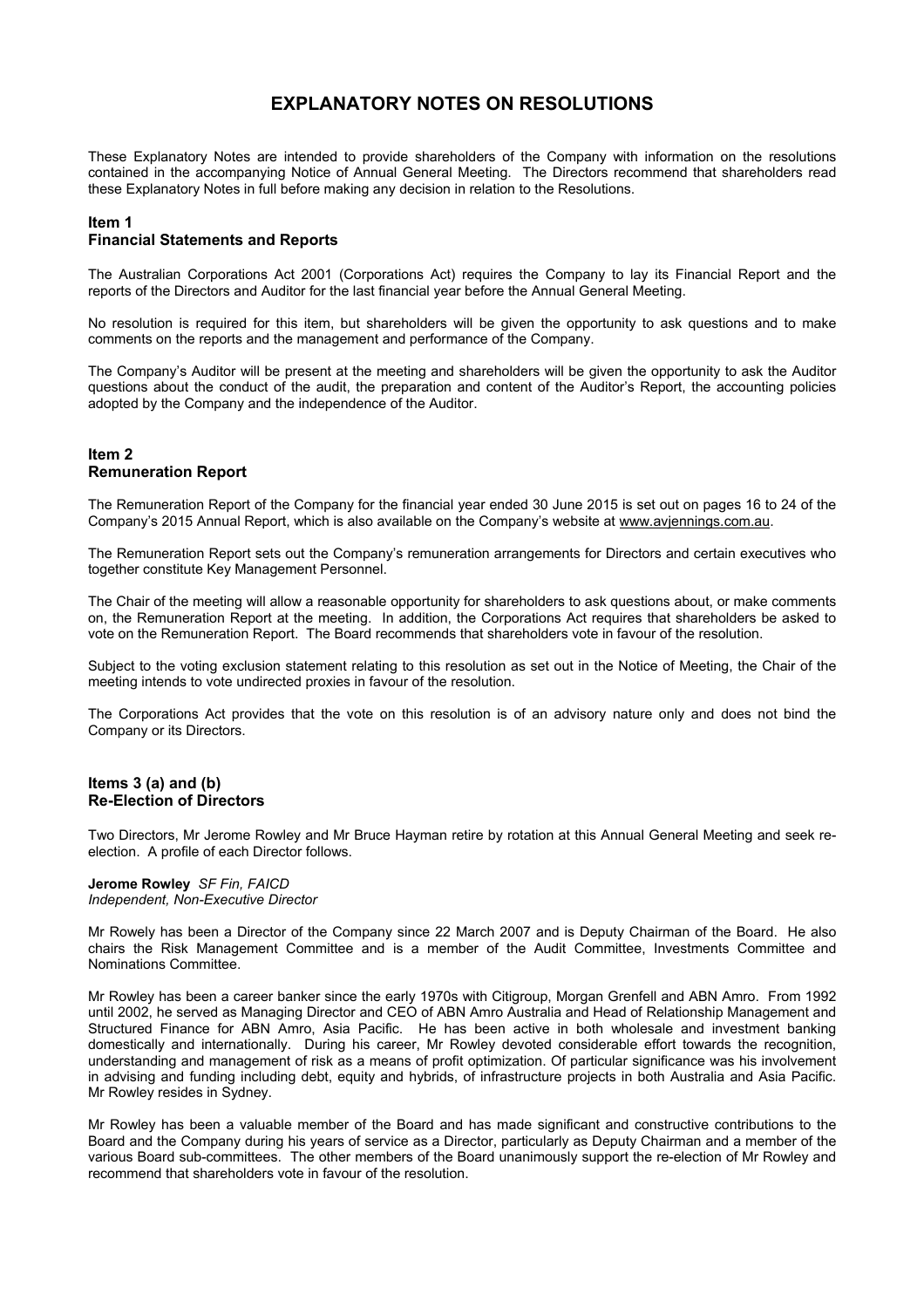## **EXPLANATORY NOTES ON RESOLUTIONS**

These Explanatory Notes are intended to provide shareholders of the Company with information on the resolutions contained in the accompanying Notice of Annual General Meeting. The Directors recommend that shareholders read these Explanatory Notes in full before making any decision in relation to the Resolutions.

## **Item 1**

#### **Financial Statements and Reports**

The Australian Corporations Act 2001 (Corporations Act) requires the Company to lay its Financial Report and the reports of the Directors and Auditor for the last financial year before the Annual General Meeting.

No resolution is required for this item, but shareholders will be given the opportunity to ask questions and to make comments on the reports and the management and performance of the Company.

The Company's Auditor will be present at the meeting and shareholders will be given the opportunity to ask the Auditor questions about the conduct of the audit, the preparation and content of the Auditor's Report, the accounting policies adopted by the Company and the independence of the Auditor.

#### **Item 2 Remuneration Report**

The Remuneration Report of the Company for the financial year ended 30 June 2015 is set out on pages 16 to 24 of the Company's 2015 Annual Report, which is also available on the Company's website at www.avjennings.com.au.

The Remuneration Report sets out the Company's remuneration arrangements for Directors and certain executives who together constitute Key Management Personnel.

The Chair of the meeting will allow a reasonable opportunity for shareholders to ask questions about, or make comments on, the Remuneration Report at the meeting. In addition, the Corporations Act requires that shareholders be asked to vote on the Remuneration Report. The Board recommends that shareholders vote in favour of the resolution.

Subject to the voting exclusion statement relating to this resolution as set out in the Notice of Meeting, the Chair of the meeting intends to vote undirected proxies in favour of the resolution.

The Corporations Act provides that the vote on this resolution is of an advisory nature only and does not bind the Company or its Directors.

#### **Items 3 (a) and (b) Re-Election of Directors**

Two Directors, Mr Jerome Rowley and Mr Bruce Hayman retire by rotation at this Annual General Meeting and seek reelection. A profile of each Director follows.

#### **Jerome Rowley** *SF Fin, FAICD Independent, Non-Executive Director*

Mr Rowely has been a Director of the Company since 22 March 2007 and is Deputy Chairman of the Board. He also chairs the Risk Management Committee and is a member of the Audit Committee, Investments Committee and Nominations Committee.

Mr Rowley has been a career banker since the early 1970s with Citigroup, Morgan Grenfell and ABN Amro. From 1992 until 2002, he served as Managing Director and CEO of ABN Amro Australia and Head of Relationship Management and Structured Finance for ABN Amro, Asia Pacific. He has been active in both wholesale and investment banking domestically and internationally. During his career, Mr Rowley devoted considerable effort towards the recognition, understanding and management of risk as a means of profit optimization. Of particular significance was his involvement in advising and funding including debt, equity and hybrids, of infrastructure projects in both Australia and Asia Pacific. Mr Rowley resides in Sydney.

Mr Rowley has been a valuable member of the Board and has made significant and constructive contributions to the Board and the Company during his years of service as a Director, particularly as Deputy Chairman and a member of the various Board sub-committees. The other members of the Board unanimously support the re-election of Mr Rowley and recommend that shareholders vote in favour of the resolution.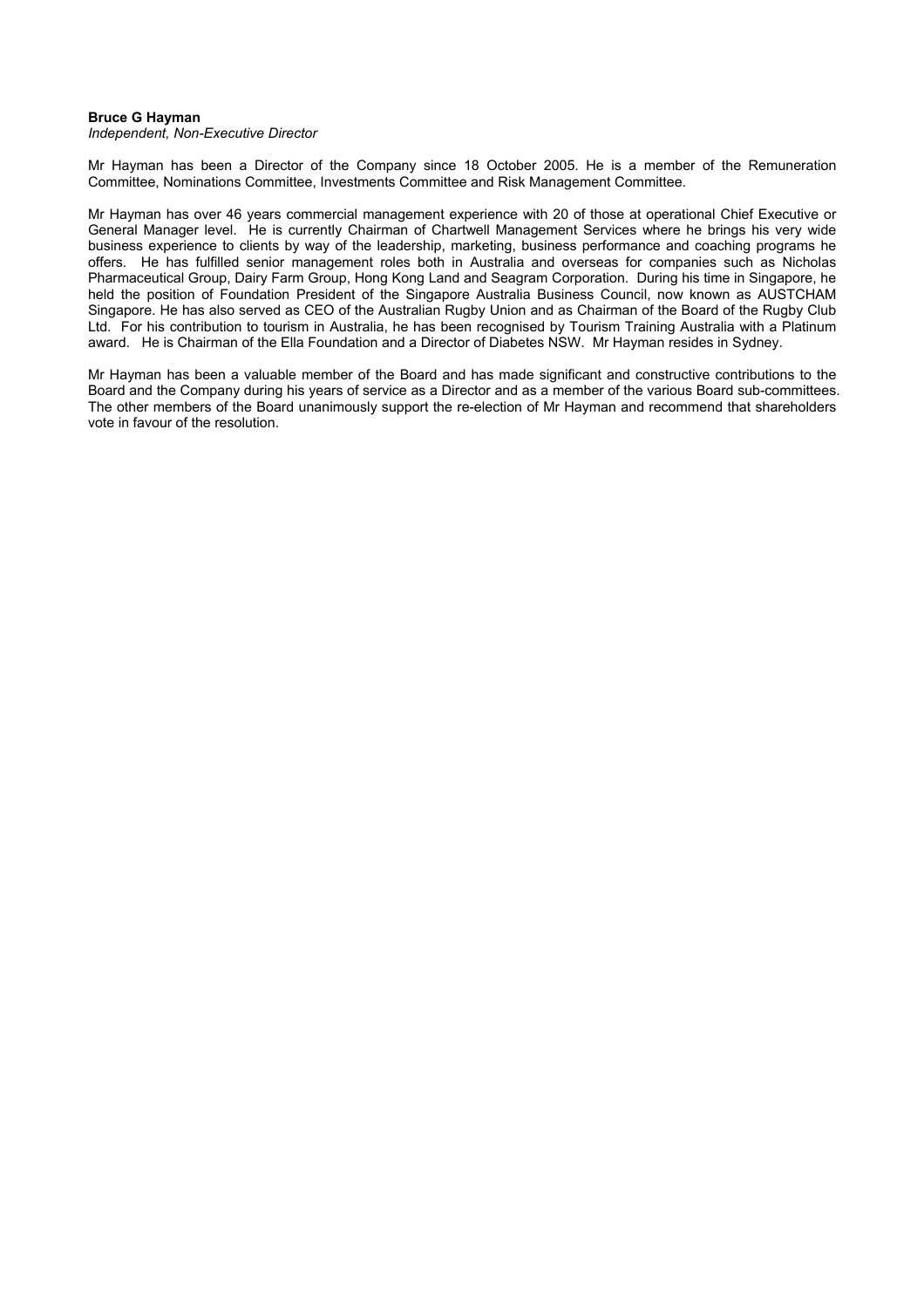#### **Bruce G Hayman**

*Independent, Non-Executive Director* 

Mr Hayman has been a Director of the Company since 18 October 2005. He is a member of the Remuneration Committee, Nominations Committee, Investments Committee and Risk Management Committee.

Mr Hayman has over 46 years commercial management experience with 20 of those at operational Chief Executive or General Manager level. He is currently Chairman of Chartwell Management Services where he brings his very wide business experience to clients by way of the leadership, marketing, business performance and coaching programs he offers. He has fulfilled senior management roles both in Australia and overseas for companies such as Nicholas Pharmaceutical Group, Dairy Farm Group, Hong Kong Land and Seagram Corporation. During his time in Singapore, he held the position of Foundation President of the Singapore Australia Business Council, now known as AUSTCHAM Singapore. He has also served as CEO of the Australian Rugby Union and as Chairman of the Board of the Rugby Club Ltd. For his contribution to tourism in Australia, he has been recognised by Tourism Training Australia with a Platinum award. He is Chairman of the Ella Foundation and a Director of Diabetes NSW. Mr Hayman resides in Sydney.

Mr Hayman has been a valuable member of the Board and has made significant and constructive contributions to the Board and the Company during his years of service as a Director and as a member of the various Board sub-committees. The other members of the Board unanimously support the re-election of Mr Hayman and recommend that shareholders vote in favour of the resolution.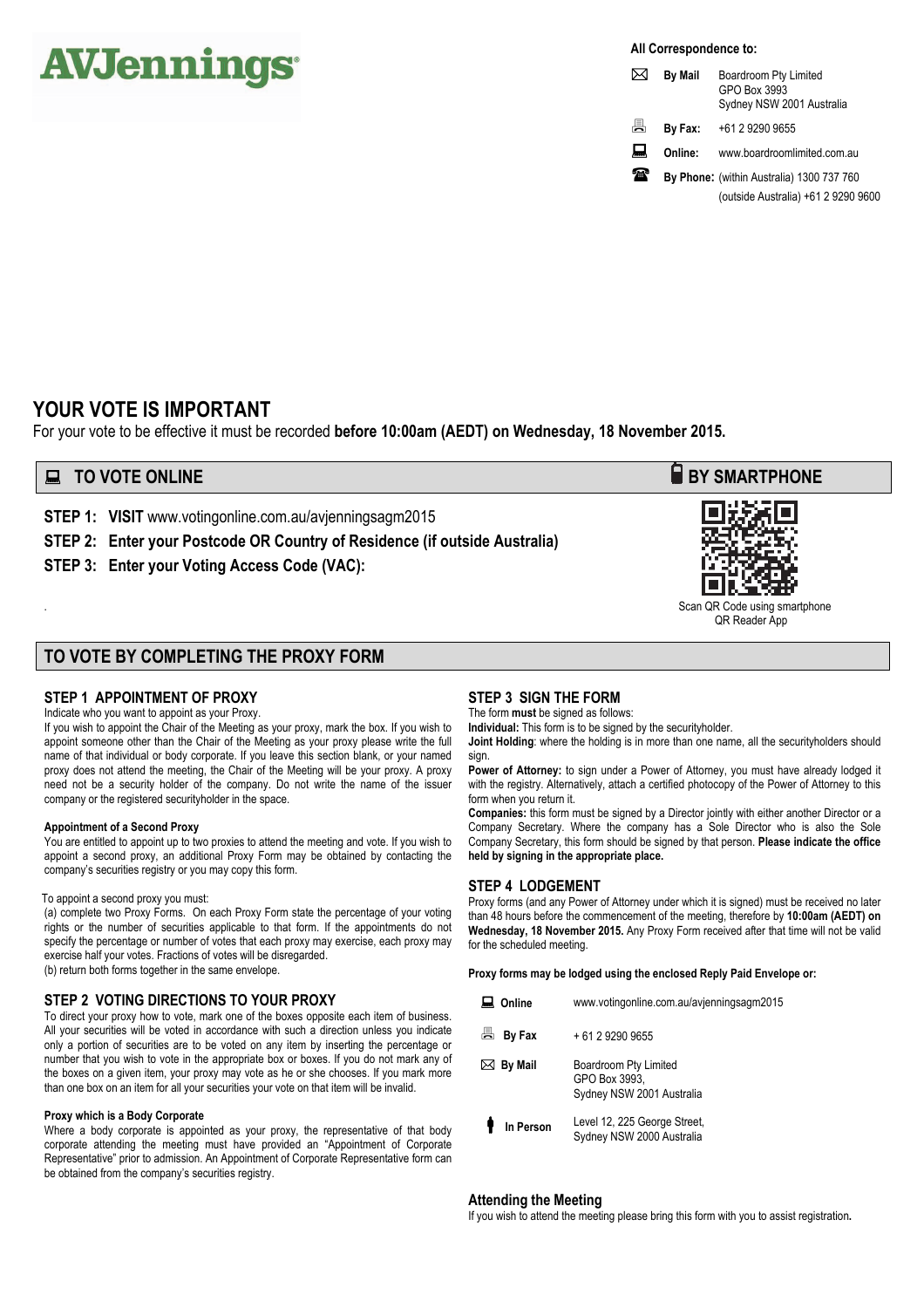# **AVJennings**

**All Correspondence to:** 

|    | <b>By Mail</b> | Boardroom Pty Limited<br>GPO Box 3993<br>Sydney NSW 2001 Australia |
|----|----------------|--------------------------------------------------------------------|
| 昌  | By Fax:        | +61 2 9290 9655                                                    |
| ᆋ  | Online:        | www.boardroomlimited.com.au                                        |
| ZШ |                | By Phone: (within Australia) 1300 737 760                          |
|    |                | (outside Australia) +61 2 9290 9600                                |

## **YOUR VOTE IS IMPORTANT**

For your vote to be effective it must be recorded **before 10:00am (AEDT) on Wednesday, 18 November 2015.** 

## **EXECUTE ONLINE BY SMARTPHONE**

**STEP 1: VISIT** www.votingonline.com.au/avjenningsagm2015

**STEP 2: Enter your Postcode OR Country of Residence (if outside Australia)**

**STEP 3: Enter your Voting Access Code (VAC):** 

### **TO VOTE BY COMPLETING THE PROXY FORM**

#### **STEP 1 APPOINTMENT OF PROXY**

Indicate who you want to appoint as your Proxy.

If you wish to appoint the Chair of the Meeting as your proxy, mark the box. If you wish to appoint someone other than the Chair of the Meeting as your proxy please write the full name of that individual or body corporate. If you leave this section blank, or your named proxy does not attend the meeting, the Chair of the Meeting will be your proxy. A proxy need not be a security holder of the company. Do not write the name of the issuer company or the registered securityholder in the space.

#### **Appointment of a Second Proxy**

You are entitled to appoint up to two proxies to attend the meeting and vote. If you wish to appoint a second proxy, an additional Proxy Form may be obtained by contacting the company's securities registry or you may copy this form.

#### To appoint a second proxy you must:

(a) complete two Proxy Forms. On each Proxy Form state the percentage of your voting rights or the number of securities applicable to that form. If the appointments do not specify the percentage or number of votes that each proxy may exercise, each proxy may exercise half your votes. Fractions of votes will be disregarded. (b) return both forms together in the same envelope.

#### **STEP 2 VOTING DIRECTIONS TO YOUR PROXY**

To direct your proxy how to vote, mark one of the boxes opposite each item of business. All your securities will be voted in accordance with such a direction unless you indicate only a portion of securities are to be voted on any item by inserting the percentage or number that you wish to vote in the appropriate box or boxes. If you do not mark any of the boxes on a given item, your proxy may vote as he or she chooses. If you mark more than one box on an item for all your securities your vote on that item will be invalid.

#### **Proxy which is a Body Corporate**

Where a body corporate is appointed as your proxy, the representative of that body corporate attending the meeting must have provided an "Appointment of Corporate Representative" prior to admission. An Appointment of Corporate Representative form can be obtained from the company's securities registry.

#### **STEP 3 SIGN THE FORM**

The form **must** be signed as follows:

**Individual:** This form is to be signed by the securityholder.

**Joint Holding**: where the holding is in more than one name, all the securityholders should sign.

Power of Attorney: to sign under a Power of Attorney, you must have already lodged it with the registry. Alternatively, attach a certified photocopy of the Power of Attorney to this form when you return it.

**Companies:** this form must be signed by a Director jointly with either another Director or a Company Secretary. Where the company has a Sole Director who is also the Sole Company Secretary, this form should be signed by that person. **Please indicate the office held by signing in the appropriate place.**

#### **STEP 4 LODGEMENT**

Proxy forms (and any Power of Attorney under which it is signed) must be received no later than 48 hours before the commencement of the meeting, therefore by **10:00am (AEDT) on Wednesday, 18 November 2015.** Any Proxy Form received after that time will not be valid for the scheduled meeting.

**Proxy forms may be lodged using the enclosed Reply Paid Envelope or:** 

- **Online**  www.votingonline.com.au/avjenningsagm2015
- **By Fax**  + 61 2 9290 9655
- **By Mail**  Boardroom Pty Limited GPO Box 3993, Sydney NSW 2001 Australia
- **In Person**  Level 12, 225 George Street, Sydney NSW 2000 Australia

#### **Attending the Meeting**

If you wish to attend the meeting please bring this form with you to assist registration**.**



Scan QR Code using smartphone QR Reader App